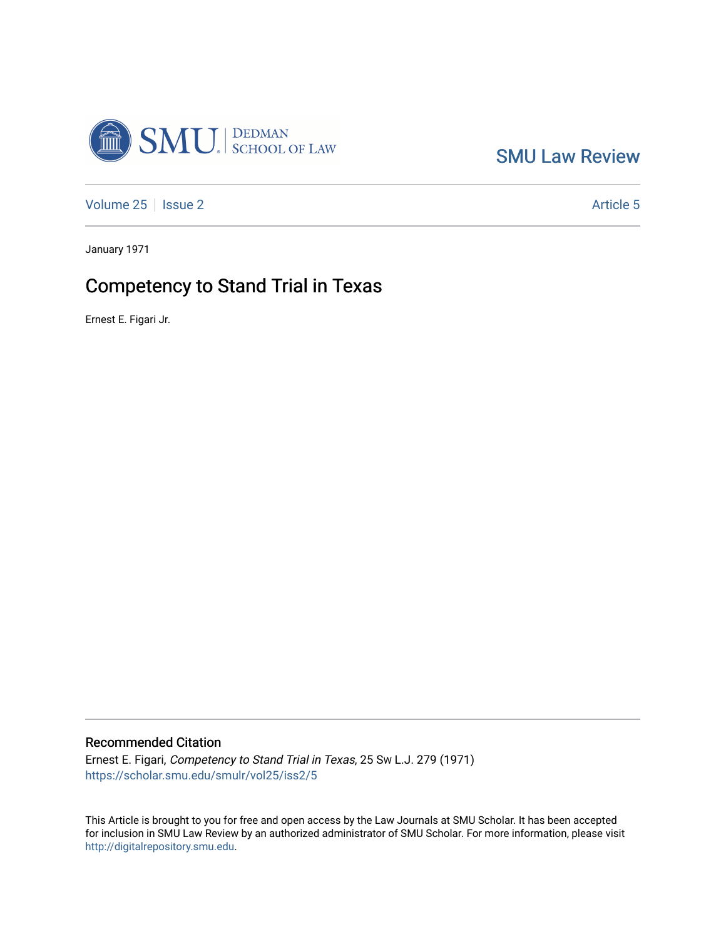

[SMU Law Review](https://scholar.smu.edu/smulr) 

[Volume 25](https://scholar.smu.edu/smulr/vol25) | [Issue 2](https://scholar.smu.edu/smulr/vol25/iss2) Article 5

January 1971

# Competency to Stand Trial in Texas

Ernest E. Figari Jr.

# Recommended Citation

Ernest E. Figari, Competency to Stand Trial in Texas, 25 SW L.J. 279 (1971) [https://scholar.smu.edu/smulr/vol25/iss2/5](https://scholar.smu.edu/smulr/vol25/iss2/5?utm_source=scholar.smu.edu%2Fsmulr%2Fvol25%2Fiss2%2F5&utm_medium=PDF&utm_campaign=PDFCoverPages) 

This Article is brought to you for free and open access by the Law Journals at SMU Scholar. It has been accepted for inclusion in SMU Law Review by an authorized administrator of SMU Scholar. For more information, please visit [http://digitalrepository.smu.edu.](http://digitalrepository.smu.edu/)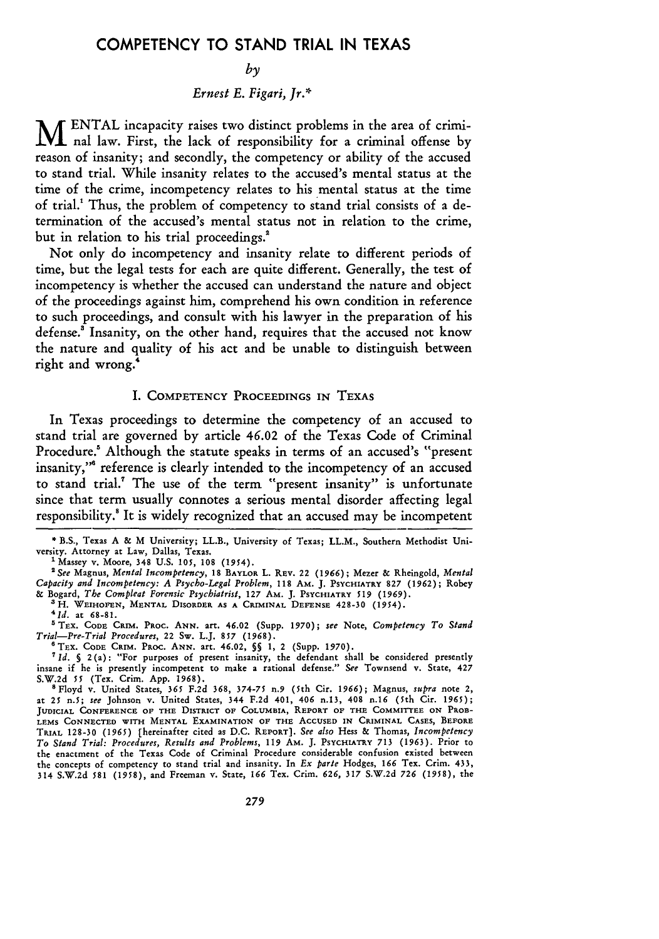# **COMPETENCY** TO **STAND** TRIAL **IN TEXAS**

#### $b<sub>v</sub>$

# *Ernest E. Figari, Jr.\**

**M ENTAL** incapacity raises two distinct problems in the area of criminal law. First, the lack of responsibility for a criminal offense **by** reason of insanity; and secondly, the competency or ability of the accused to stand trial. While insanity relates to the accused's mental status at the time of the crime, incompetency relates to his mental status at the time of trial.' Thus, the problem of competency to stand trial consists of a determination of the accused's mental status not in relation to the crime, but in relation to his trial proceedings.<sup>2</sup>

Not only do incompetency and insanity relate to different periods of time, but the legal tests for each are quite different. Generally, the test of incompetency is whether the accused can understand the nature and object of the proceedings against him, comprehend his own condition in reference to such proceedings, and consult with his lawyer in the preparation of his defense.' Insanity, on the other hand, requires that the accused not know the nature and quality of his act and be unable to distinguish between right and wrong.<sup>4</sup>

# I. COMPETENCY PROCEEDINGS IN TEXAS

In Texas proceedings to determine the competency of an accused to stand trial are governed by article 46.02 of the Texas Code of Criminal Procedure.' Although the statute speaks in terms of an accused's "present insanity,"<sup>8</sup> reference is clearly intended to the incompetency of an accused to stand trial." The use of the term "present insanity" is unfortunate since that term usually connotes a serious mental disorder affecting legal responsibility.<sup>8</sup> It is widely recognized that an accused may be incompetent

\* B.S., Texas A & M University; LL.B., University of Texas; LL.M., Southern Methodist University. Attorney at Law, Dallas, Texas.

'Massey v. Moore, 348 U.S. 105, **108** (1954).

*'See* Magnus, *Mental Incompetency,* **18** BAYLOR L. REv. 22 *(1966);* Mezer & Rheingold, *Mental Capacity and Incompetency: A Psycho-Legal Problem,* **118 AM. J.** PSYCHIATRY 827 **(1962);** Robey & Bogard, *The Compleat Forensic Psychiatrist,* 127 AM. **J.** PSYCHIATRY *519* (1969).

<sup>3</sup> H. WEIHOFEN, MENTAL DISORDER AS A CRIMINAL DEFENSE 428-30 (1954).

*1d.* at **68-81.**

<sup>5</sup> TEX. CODE CRIM. PROC. ANN. art. 46.02 (Supp. 1970); *see* Note, *Competency To Stand* Trial-Pre-Trial Procedures, 22 Sw. L.J. 857 (1968).

*Trial-Pre-Trial Procedures,* 22 Sw. L.J. *857* (1968). **<sup>6</sup> TEX. CODE CRIM.** PROC. **ANN.** art. 46.02, **§5 1,** 2 (Supp. 1970).

*'Id. §* 2(a): "For purposes of present insanity, the defendant shall be considered presently insane if he is presently incompetent to make a rational defense." *See* Townsend v. State, 427 S.W.2d *55* (Tex. Crim. App. 1968).

8Floyd v. United States, **365 F.2d 368, 374-75** n.9 (5th Cir. *1966);* Magnus, *supra* note 2, at 25 n.5; *see* Johnson v. United States, 344 **F.2d** 401, 406 n.13, 408 n.16 (5th Cir. 1965); **JUDICIAL CONFERENCE OF THE DISTRICT OF COLUMBIA, REPORT OF THE COMMITTEE ON** PROB-**LEMS CONNECTED WITH MENTAL EXAMINATION OF** THE **ACCUSED IN CRIMINAL** CASES, BEFORE **TRIAL 128-30 (1965) [hereinafter** cited **as D.C.** REPORT]. *See also* **Hess &** Thomas, *Incompetency To Stand Trial: Procedures, Results and Problems, 119* AM. **J.** PSYCHIATRY **713** (1963). Prior **to** the enactment of the Texas Code of Criminal Procedure considerable confusion existed between the concepts of competency to stand trial and insanity. In *Ex parte* Hodges, **166** Tex. Crim. 433, 314 S.W.2d **581** (1958), and Freeman v. State, **166** Tex. Crim. *626, 317* S.W.2d *726 (1958),* the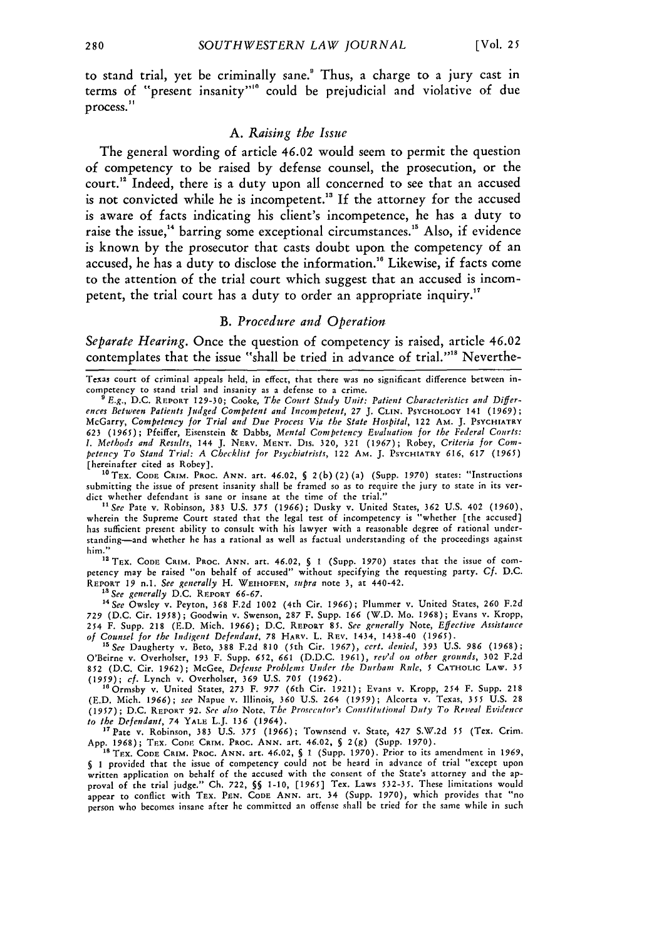to stand trial, yet be criminally sane." Thus, a charge to a jury cast in terms of "present insanity"'" could be prejudicial and violative of due process."

# *A. Raising the Issue*

The general wording of article 46.02 would seem to permit the question of competency to be raised **by** defense counsel, the prosecution, or the court.<sup>12</sup> Indeed, there is a duty upon all concerned to see that an accused is not convicted while he is incompetent.<sup>13</sup> If the attorney for the accused is aware of facts indicating his client's incompetence, he has a duty to raise the issue,<sup>14</sup> barring some exceptional circumstances.<sup>15</sup> Also, if evidence is known **by** the prosecutor that casts doubt upon the competency of an accused, he has a duty to disclose the information.'" Likewise, if facts come to the attention of the trial court which suggest that an accused is incompetent, the trial court has a duty to order an appropriate inquiry.<sup>17</sup>

## *B. Procedure and Operation*

*Separate Hearing.* Once the question of competency is raised, article 46.02 contemplates that the issue "shall be tried in advance of trial."<sup>18</sup> Neverthe-

Texas court **of** criminal appeals held, in effect, that there was no significant difference between incompetency to stand trial and insanity as a defense to a crime.

'E.g., D.C. REPORT 129-30; Cooke, The Court Study Unit: Patient Characteristics and Differences Between Patients Judged Competent and Incompetent, *27* J. CLIN. PSYCHOLOGY 141 **(1969);** McGarry, Competency for Trial and Due Process Via the State Hospital, 122 **AM. J.** PSYCHIATRY **623 (1965);** Pfeiffer, Eisenstein & Dabbs, Mental Competency Evaluation for the Federal Courts: *I.* Methods and Results, 144 J. NERV. **MENT.** Dis. **320,** 321 **(1967);** Robey, Criteria for Coinpetency To Stand Trial: A Checklist for Psychiatrists, 122 **AM.** J. PSYCHIATRY **616,** *617* **(1965)** [hereinafter cited as Robey].

**1** TEx. **CODE** CRIM. PRoc. **ANN.** art. 46.02, **§** 2(b) (2) (a) (Supp. 1970) states: "Instructions submitting the issue of present insanity shall be framed so as to require the jury to state in its verdict whether defendant is sane or insane at the time of the trial." *"1See* Pate v. Robinson, 383 U.S. *375 (1966);* Dusky v. United States, 362 U.S. 402 (1960),

wherein the Supreme Court stated that the legal test of incompetency is "whether [the accused] has sufficient present ability to consult with his lawyer with a reasonable degree of rational understanding-and whether he has a rational as well as factual understanding of the proceedings against him." " TEX. **CODE** CRIM. **PROC. ANN.** art. 46.02, *§* 1 (Supp. **1970)** states that the issue of com-

petency may be raised **"on** behalf of accused" without specifying the requesting party. **Cf.** D.C. REPORT 19 n.1. See generally H. **WEIHOFEN,** supra note **3,** at 440-42.

*"a* See generally D.C. REPORT **66-67.**

**'4See** Owsley v. Peyton, **368 F.2d** 1002 (4th Cir. *1966);* Plummer v. United States, **260 F.2d** 729 (D.C. Cir. 1958); Goodwin v. Swenson, 287 F. Supp. 166 (W.D. Mo. 1968); Evans v. Kropp,<br>254 F. Supp. 218 (E.D. Mich. 1966); D.C. REPORT 85. See generally Note, Effective Assistance *of* Counsel for the Indigent Defendant, **78** HARV. L. Ruv. 1434, 1438-40 (1965). *15See* Daugherty v. Beto, **388** F.2d 810 (5th Cir. 1967), cert. denied, **393** U.S. *986* (1968);

O'Beirne v. Overholser, **193** F. Supp. **652,** *661* (D.D.C. 1961), rev'd on other grounds, **302** F.2d **852** (D.C. Cir. **1962);** McGee, Defense Problems Under the Durham Rule, *5* CATHOLIC LAw. **35 (1959);** cf. Lynch v. Overholser, **369** U.S. *705* (1962). "Ormsby v. United States, 273 F. *977* (6th Cir. 1921); Evans v. Kropp, 254 F. Supp. 218

(E.D. Mich. 1966); see Napue v. Illinois, 360 U.S. 264 *(1959);* Alcorta v. Texas, *355* U.S. 28 (1957) ; **D.C. REPORT** *92.* See also Note, The *Prosecutor's* Constitutional Duty To Reveal Evidence to the Defendant, 74 YALE L.J. *136* (1964).

"Pate v. Robinson, 383 U.S. *375 (1966);* Townsend v. State, 427 S.W.2d *55* (Tex. Crim. App. 1968); TEX. CODE CRIM. PROC. ANN. art. 46.02, § 2(g) (Supp. 1970).<br><sup>18</sup> TEX. CODE CRIM. PROC. ANN. art. 46.02, § 1 (Supp. 1970). Prior to its amendment in 1969.

1 provided that the issue of competency could not **be** heard in advance of trial "except upon written application on behalf of the accused with the consent of the State's attorney and the approval of the trial judge," Ch. 722, *§§* 1-10, **[1965]** Tex. Laws 532-35. These limitations would appear to conflict with TEx. PEN. **CODE ANN.** art. **34** (Supp. 1970), which provides that "no person who becomes insane after he committed an offense shall be tried for the same while in such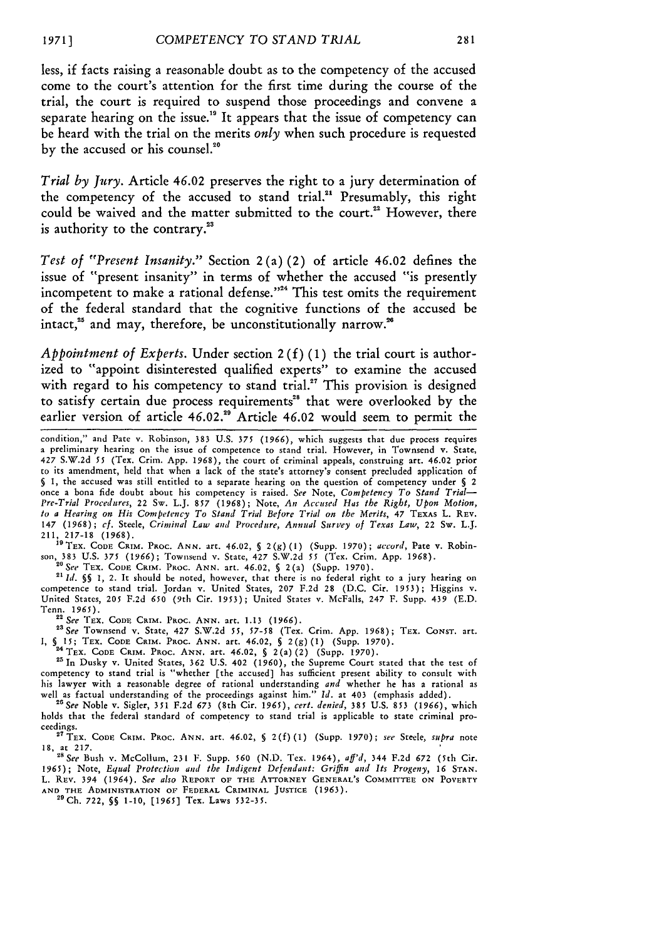less, if facts raising a reasonable doubt as to the competency of the accused come to the court's attention for the first time during the course of the trial, the court is required to suspend those proceedings and convene a separate hearing on the issue.<sup>19</sup> It appears that the issue of competency can be heard with the trial on the merits *only* when such procedure is requested by the accused or his counsel.<sup>20</sup>

*Trial by Jury.* Article 46.02 preserves the right to a jury determination of the competency of the accused to stand trial.<sup>21</sup> Presumably, this right could be waived and the matter submitted to the court.<sup>22</sup> However, there is authority to the contrary.<sup>23</sup>

*Test of "Present Insanity."* Section 2 (a) (2) of article 46.02 defines the issue of "present insanity" in terms of whether the accused "is presently incompetent to make a rational defense."<sup>24</sup> This test omits the requirement of the federal standard that the cognitive functions of the accused be intact,<sup>25</sup> and may, therefore, be unconstitutionally narrow.<sup>26</sup>

*Appointment of Experts.* Under section 2 **(f) (1)** the trial court is authorized to "appoint disinterested qualified experts" to examine the accused with regard to his competency to stand trial.<sup>27</sup> This provision is designed to satisfy certain due process requirements<sup>28</sup> that were overlooked by the earlier version of article 46.02.<sup>29</sup> Article 46.02 would seem to permit the

211, 217-18 (1968).<br><sup>19</sup> TEX. CODE CRIM. PROC. ANN. art. 46.02, § 2(g)(1) (Supp. 1970); *accord*, Pate v. Robin-<br>son, 383 U.S. 375 (1966); Townsend v. State, 427 S.W.2d 55 (Tex. Crim. App. 1968). *"See* TEX. **CODE CRIM. PROC. ANN.** art. 46.02, § 2(a) (Supp. 1970).

**21** *Id. §§* 1, 2. It should be noted, however, that there is no federal right to a jury hearing on competence to stand trial. Jordan v. United States, 207 F.2d 28 (D.C. Cir. 1953); Higgins v. United States, 205 F.2d **650** (9th Cir. 1953); United States v. McFalls, 247 F. Supp. 439 (E.D. Tenn. 1965).

**<sup>2</sup>***See* TEX. **CODE** CrM. PRoc. **ANN.** art. 1.13 (1966). *"See* Townsend v. State, 427 S.W.2d *55, 57-58* (Tex. Crim. App. 1968); **TEX. CONST.** art.

**1,** *§* **15;** TEX. **CODE** CRIM. PRoc. **ANN.** art. 46.02, **§** 2(g) (1) (Supp. **1970).** ' <sup>4</sup> TEx. **CODE** CRIM. PRoc. **ANN.** art. 46.02, **§** 2(a) (2) (Supp. **1970).**

21 In Dusky v. United States, **362** U.S. 402 (1960), the Supreme Court stated that the test **of**

competency to stand trial is "whether [the accused] has sufficient present ability to consult with his lawyer with a reasonable degree of rational understanding *and* whether he has a rational as well as factual understanding of the proceedings against him." Id. at 403 (emphasis added).<br><sup>26</sup> See Noble v. Sigler, 351 F.2d 673 (8th Cir. 1965), cert. denied, 385 U.S. 853 (1966), which

holds that the federal standard of competency to stand trial is applicable to state criminal proceedings.

**"** TEX. **CODE CRIM.** PRoc. **ANN.** art. 46.02, **S** 2(f) (1) (Supp. **1970);** *see* Steele, *supra* note **18, at 217.** *"28See* Bush v. McCollum, **231** F. Supp. *560* (N.D. Tex. 1964), *aff'd,* 344 F.2d **672** (5th Cir.

**1965);** Note, *Equal Protection and the Indigent Defendant: Griffin and Its Progeny,* 16 **STAN.** L. REV. 394 (1964). *See also* REPORT OF **THE ATTORNEY GENERAL'S COMMITTEE ON POVERTY AND** THE ADMINISTRATION OF **FEDERAL** CRIMINAL **JUSTICE** (1963). **29Ch.** 722, **§§ 1-10, [1965]** Tex. Laws **532-35.**

condition," and Pate v. Robinson, **383** U.S. *375* (1966), which suggests that due process requires a preliminary hearing on the issue of competence to stand trial. However, in Townsend v. State, 427 S.W.2d *55* (Tex. Crim. App. 1968), the court of criminal appeals, construing art. 46.02 prior to its amendment, held that when a lack of the state's attorney's consent precluded application of *§* 1, the accused was still entitled to a separate hearing on the question of competency under § 2 once a bona fide doubt about his competency is raised. *See* Note, *Competency To Stand Trial-Pre-Trial Procedures,* 22 Sw. L.J. *857* (1968); Note, *An Accused Has the Right, Upon Motion, to a Hearing on His Competency To Stand Trial Before Trial an the Merits,* 47 TEXAs L. REV. 147 (1968); *cf.* Steele, *Criminal Law and Procedure, Annual Survey of Texas Law,* 22 Sw. L.J.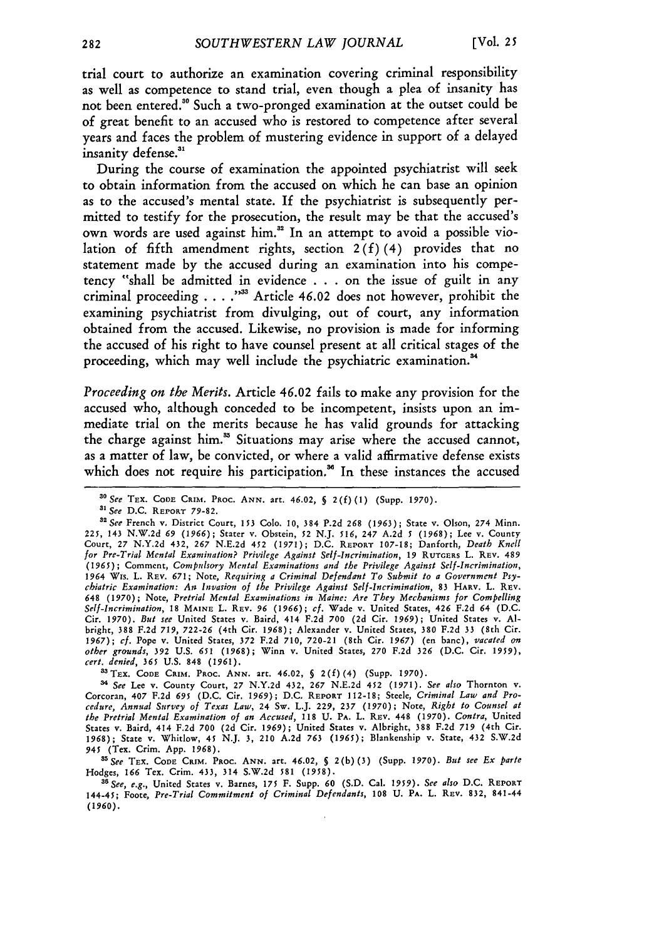trial court to authorize an examination covering criminal responsibility as well as competence to stand trial, even though a plea of insanity has not been entered.<sup>30</sup> Such a two-pronged examination at the outset could be of great benefit to an accused who is restored to competence after several years and faces the problem of mustering evidence in support of a delayed insanity defense.<sup>31</sup>

During the course of examination the appointed psychiatrist will seek to obtain information from the accused on which he can base an opinion as to the accused's mental state. **If** the psychiatrist is subsequently permitted to testify for the prosecution, the result may be that the accused's own words are used against him." In an attempt to avoid a possible violation of fifth amendment rights, section 2 **(f)** (4) provides that no statement made **by** the accused during an examination into his competency "shall **be** admitted in evidence **. . .** on the issue of guilt in any criminal proceeding . . . . "<sup>33</sup> Article 46.02 does not however, prohibit the examining psychiatrist from divulging, out of court, any information obtained from the accused. Likewise, no provision is made for informing the accused of his right to have counsel present at all critical stages of the proceeding, which may well include the psychiatric examination.<sup>34</sup>

*Proceeding on the Merits.* Article 46.02 fails to make any provision for the accused who, although conceded to be incompetent, insists upon an immediate trial on the merits because he has valid grounds for attacking the charge against him." Situations may arise where the accused cannot, as a matter of law, be convicted, or where a valid affirmative defense exists which does not require his participation.<sup>36</sup> In these instances the accused

33 TEX. CODE CRIM. PROC. ANN. art. 46.02, § 2(f)(4) (Supp. 1970).

<sup>34</sup> See Lee v. County Court, 27 N.Y.2d 432, 267 N.E.2d 452 (1971). See also Thornton v.<br>Corcoran, 407 F.2d 695 (D.C. Cir. 1969); D.C. REPORT 112-18; Steele, Criminal Law and Pro*cedure, Annual Survey of Texas Law,* 24 Sw. L.J. 229, **237 (1970);** Note, *Right to Counsel at the Pretrial Mental Examination of an Accused,* 118 U. PA. L. **REV.** 448 **(1970).** *Contra,* United States **v.** Baird, 414 F.2d 700 (2d Cir. *1969);* United States v. Albright, 388 F.2d **719** (4th Cir. **1968);** State v. Whitlow, 45 N.J. 3, 210 A.2d *763* (1965); Blankenship **v.** State, 432 S.W.2d *945* (Tex. Crim. App. 1968). *"See* TEX. **CODE CRIM.** PROC. **ANN.** art. 46.02, **§** 2(b)(3) (Supp. 1970). *But see Ex parte*

Hodges, *166* Tex. Crim. 433, 314 S.W.2d 581 (1958).

*asSee, e.g.,* United States v. Barnes, *175* F. Supp. **60** (S.D. Cal. *1959). See also* D.C. REPORT 144-45; Foote, *Pre-Trial Commitment of Criminal Defendants,* 108 U. PA. L. **REV.** 832, 841-44 (1960).

*<sup>&</sup>quot;See* **TEX.** CODE CRIM. **PRoc. ANN.** art. *46.02, §* **2(f)(1)** (Supp. **1970).**

*a' See* **D.C. REPORT 79-82.**

<sup>32</sup> See French v. District Court, 153 Colo. 10, 384 P.2d 268 (1963); State v. Olson, 274 Minn. 225, 143 N.W.2d 69 (1966); Stater v. Obstein, 52 N.J. 516, 247 A.2d 5 (1968); Lee v. County<br>Court, 27 N.Y.2d 432, 267 N.E.2d 452 (1971); D.C. REPORT 107-18; Danforth, *Death Knell for Pre-Trial Mental Examination? Privilege Against Self-Incrimination, 19* **RUTGERS** L. **REV.** 489 (1965); Comment, *Compulsory Mental Examinations and the Privilege Against Self-Incrimination,* 1964 Wis. L. REV. **671;** Note, *Requiring a Criminal Defendant To Submit to a Government Psychiatric Examination: Ass Invasion of the Privilege Against Self-Incrimination,* **83** HARV. L. REV. *648* **(1970);** Note, *Pretrial Mental Examinations in Maine: Are They Mechanisms for Compelling* Self-Incrimination, 18 MAINE L. REV. 96 (1966); cf. Wade v. United States, 426 F.2d 64 (D.C.<br>Cir. 1970). *But see* United States v. Baird, 414 F.2d 700 (2d Cir. 1969); United States v. Al· bright, **388** F.2d 719, 722-26 (4th Cir. 1968); Alexander v. United States, **380** F.2d **33** (8th Cir. **1967);** *cf.* Pope v. United States, **372** F.2d 710, 720-21 (8th Cir. *1967)* (en banc), *vacated on other grounds,* **392** U.S. *651* **(1968);** Winn v. United States, **270** F.2d **326** (D.C. Cir. 1959), *cert. denied, 365* U.S. 848 (1961).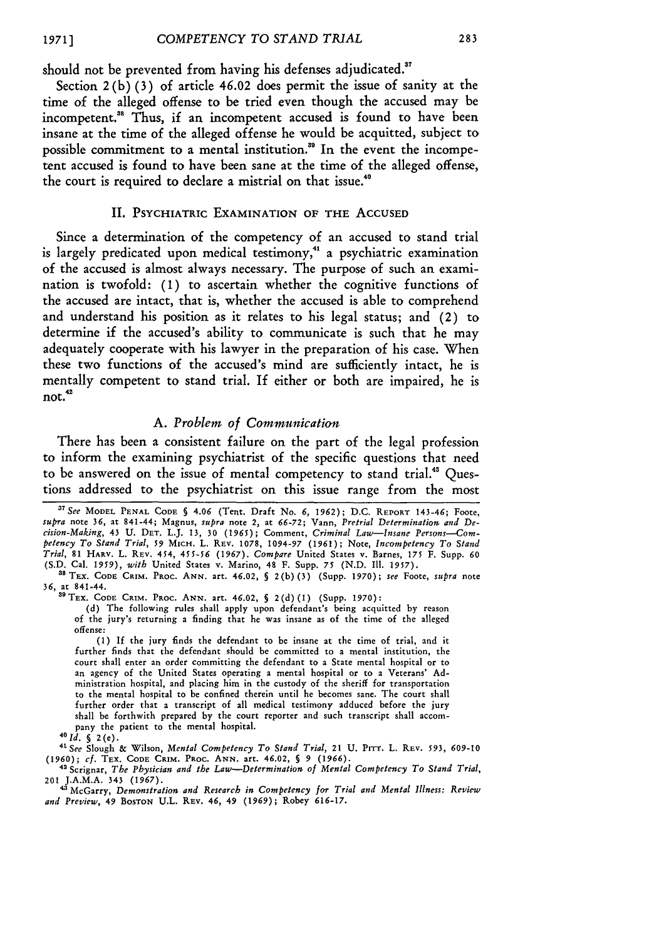should not be prevented from having his defenses adjudicated."

Section  $2(b)$  (3) of article 46.02 does permit the issue of sanity at the time of the alleged offense to be tried even though the accused may be incompetent."8 Thus, if an incompetent accused is found to have been insane at the time of the alleged offense he would be acquitted, subject to possible commitment to a mental institution." In the event the incompetent accused is found to have been sane at the time of the alleged offense, the court is required to declare a mistrial on that issue.<sup>40</sup>

#### II. PSYCHIATRIC **EXAMINATION OF THE** ACCUSED

Since a determination of the competency of an accused to stand trial is largely predicated upon medical testimony,<sup>41</sup> a psychiatric examination of the accused is almost always necessary. The purpose of such an examination is twofold: (1) to ascertain whether the cognitive functions of the accused are intact, that is, whether the accused is able to comprehend and understand his position as it relates to his legal status; and (2) to determine if the accused's ability to communicate is such that he may adequately cooperate with his lawyer in the preparation of his case. When these two functions of the accused's mind are sufficiently intact, he is mentally competent to stand trial. If either or both are impaired, he is **not.4**

# *A. Problem of Communication*

There has been a consistent failure on the part of the legal profession to inform the examining psychiatrist of the specific questions that need to be answered on the issue of mental competency to stand trial." Questions addressed to the psychiatrist on this issue range from the most

(d) The following rules shall apply upon defendant's being acquitted by reason of the jury's returning a finding that he was insane as of the time of the alleged offense:

(1) **If** the jury finds the defendant to be insane at the time of trial, and it further finds that the defendant should be committed to a mental institution, the court shall enter an order committing the defendant to a State mental hospital or to an agency of the United States operating a mental hospital or to a Veterans' **Ad**ministration hospital, and placing him in the custody of the sheriff for transportation to the mental hospital to be confined therein until he becomes sane. The court shall further order that a transcript of all medical testimony adduced before the jury shall be forthwith prepared by the court reporter and such transcript shall accompany the patient to the mental hospital.

*1d. §* 2(e).

4"See Slough & Wilson, *Mental Competency To Stand Trial,* 21 **U.** PITT. **L. REV.** 593, **609-10 (1960);** *cf.* TEX. **CODE** CRIM. PROC. **ANN.** art. 46.02, **§** 9 (1966). " Scrignar, *The Physician and the Law-Determination of Mental Competency To Stand Trial,*

201 J.A.M.A. 343 (1967). *'* McGarry, *Demonstration and Research in Competency for Trial and Mental Illness: Review and Preview,* 49 **BOSTON U.L. REV.** 46, 49 (1969); Robey **616-17.**

<sup>&</sup>lt;sup>37</sup> See MODEL PENAL CODE § 4.06 (Tent. Draft No. 6, 1962); D.C. REPORT 143-46; Foote, supra note 36, at 841-44; Magnus, supra note 2, at 66-72; Vann, Pretrial Determination and Decision-Making, 43 U. DET. L.J. 13, 30 (1965); Comment, Criminal Law—Insane Persons—Com-<br>petency To Stand Trial, 59 MICH. L. REV. 1078, 1094-97 (1961); Note, Incompetency To Stand *Trial,* **81** HARV. L. **REV.** 454, 455-56 (1967). *Compare* United States v. Barnes, 175 F. Supp. **60 (S.D.** Cal. *1959), with* United States v. Marino, 48 F. Supp. 75 (N.D. **Il.** 1957).

**<sup>&</sup>quot; TEX. CODE** CRIM. **PROC. ANN.** art. 46.02, § 2(b) **(3)** (Supp. **1970);** *see* Foote, *supra* note **36,** at 841-44. "OTEX. **CODE** CRIM. **PROC. ANN.** art. 46.02, **§ 2(d)(1)** (Supp. 1970):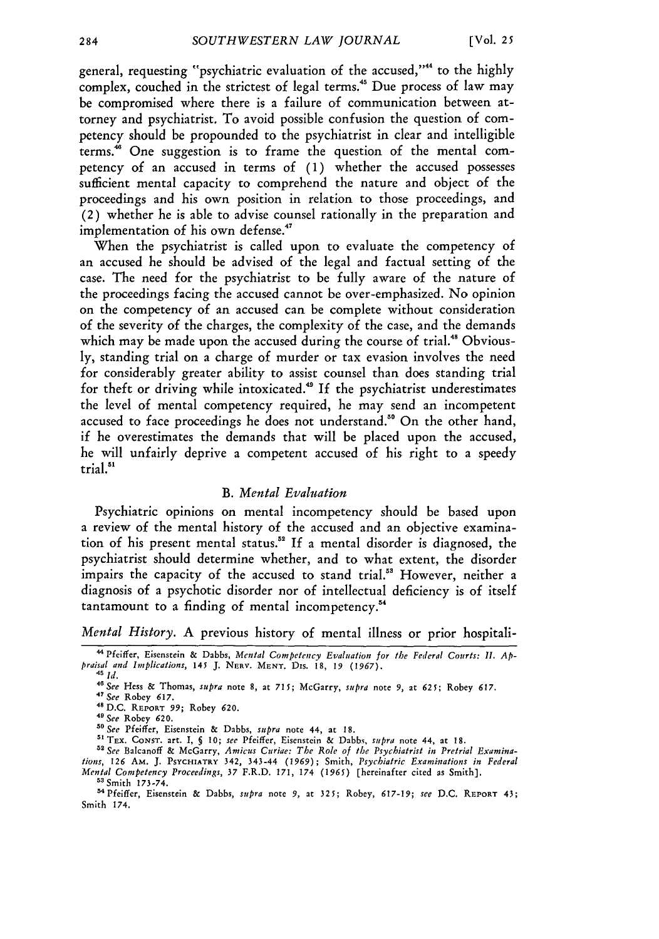general, requesting "psychiatric evaluation of the accused,"" to the **highly** complex, couched in the strictest of legal terms."' Due process of law may be compromised where there is a failure of communication between attorney and psychiatrist. To avoid possible confusion the question of competency should be propounded to the psychiatrist in clear and intelligible terms.<sup>46</sup> One suggestion is to frame the question of the mental competency of an accused in terms of **(1)** whether the accused possesses sufficient mental capacity to comprehend the nature and object of the proceedings and his own position in relation to those proceedings, and (2) whether he is able to advise counsel rationally in the preparation and implementation of his own defense."

When the psychiatrist is called upon to evaluate the competency of an accused he should be advised of the legal and factual setting of the case. The need for the psychiatrist to be fully aware of the nature of the proceedings facing the accused cannot be over-emphasized. No opinion on the competency of an accused can be complete without consideration of the severity of the charges, the complexity of the case, and the demands which may be made upon the accused during the course of trial.<sup>48</sup> Obviously, standing trial on a charge of murder or tax evasion involves the need for considerably greater ability to assist counsel than does standing trial for theft or driving while intoxicated.<sup>49</sup> If the psychiatrist underestimates the level of mental competency required, he may send an incompetent accused to face proceedings he does not understand.<sup>80</sup> On the other hand, if he overestimates the demands that will be placed upon the accused, he will unfairly deprive a competent accused of his right to a speedy trial."

#### *B. Mental Evaluation*

Psychiatric opinions on mental incompetency should be based upon a review of the mental history of the accused and an objective examination of his present mental status."2 **If** a mental disorder is diagnosed, the psychiatrist should determine whether, and to what extent, the disorder impairs the capacity of the accused to stand trial."' However, neither a diagnosis of a psychotic disorder nor of intellectual deficiency is of itself tantamount to a finding of mental incompetency.<sup>54</sup>

*Mental History.* A previous history of mental illness or prior hospitali-

" TEx. **CONST.** art. **I, § 10;** *see* Pfeiffer, Eisenstein & Dabbs, *supra* note 44, at **18.**

<sup>&</sup>quot;Pfeiffer, Eisenstein & Dabbs, *Mental Competency Evaluation for the Federal Courts:* I1. *Appraisal and Implications,* **145** J. NERV. **MENT.** Dis. 18, *19 (1967).* <sup>45</sup>*Id.*

*<sup>&</sup>quot;See* Hess & Thomas, *supra* note 8, at **715;** McGarry, *supra* note 9, at **625;** Robey 617. *<sup>4</sup>*

<sup>&</sup>lt;sup>47</sup> See Robey 617.

<sup>48</sup>D.C. REPORT **99;** Robey **620.** 41 *See* Robey 620.

*<sup>&</sup>quot; See* Pfeiffer, Eisenstein & Dabbs, *supra* note 44, at **18.**

*<sup>&</sup>quot; See* Balcanoff & McGarry, *Amicus Curiae: The Role of the Psychiatrist in Pretrial Examinations, 126* AM. J. PSYCHIATRY 342, 343-44 **(1969);** Smith, *Psychiatric Examinations in Federal Mental Competency Proceedings, 37* F.R.D. **171,** 174 (1965) [hereinafter cited as Smith].

**<sup>53</sup>** Smith **173-74.**

<sup>&#</sup>x27; <sup>4</sup> Pfeiffer, Eisenstein & Dabbs, *supra* note **9,** at **325;** Robey, **617-19;** *see* D.C. REPORT 43; Smith 174.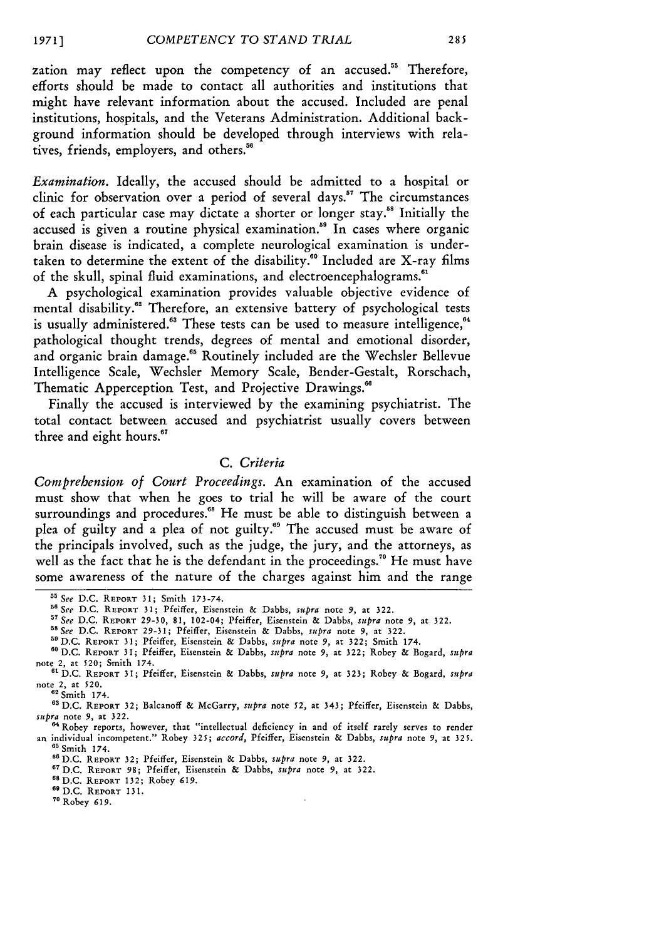*19711*

zation may reflect upon the competency of an accused.<sup>55</sup> Therefore, efforts should be made to contact all authorities and institutions that might have relevant information about the accused. Included are penal institutions, hospitals, and the Veterans Administration. Additional background information should be developed through interviews with relatives, friends, employers, and others."

*Examination.* Ideally, the accused should be admitted to a hospital or clinic for observation over a period of several days.<sup>57</sup> The circumstances of each particular case may dictate a shorter or longer stay." Initially the accused is given a routine physical examination.<sup>59</sup> In cases where organic brain disease is indicated, a complete neurological examination is undertaken to determine the extent of the disability.<sup>60</sup> Included are X-ray films of the skull, spinal fluid examinations, and electroencephalograms.<sup>61</sup>

**A** psychological examination provides valuable objective evidence of mental disability.<sup>62</sup> Therefore, an extensive battery of psychological tests is usually administered.<sup>63</sup> These tests can be used to measure intelligence,<sup>64</sup> pathological thought trends, degrees of mental and emotional disorder, and organic brain damage.<sup>65</sup> Routinely included are the Wechsler Bellevue Intelligence Scale, Wechsler Memory Scale, Bender-Gestalt, Rorschach, Thematic Apperception Test, and Projective Drawings.<sup>66</sup>

Finally the accused is interviewed **by** the examining psychiatrist. The total contact between accused and psychiatrist usually covers between three and eight hours. "

# *C. Criteria*

*Comprehension of Court Proceedings.* An examination of the accused must show that when he goes to trial he will be aware of the court surroundings and procedures.<sup>68</sup> He must be able to distinguish between a plea of guilty and a plea of not guilty." The accused must be aware of the principals involved, such as the judge, the jury, and the attorneys, as well as the fact that he is the defendant in the proceedings.<sup>70</sup> He must have some awareness of the nature of the charges against him and the range

- 
- **59D.C. REPORT 31;** Pfeiffer, Eisenstein **&** Dabbs, *supra* note **9,** at **322;** Smith 174.

<sup>6</sup> D.C. REPORT 132; Robey 619. **" D.C.** REPORT 131.

**<sup>&#</sup>x27;5** *See* D.C. REPORT **31;** Smith 173-74.

*<sup>5&</sup>quot;See* **D.C. REPORT 31;** Pfeiffer, Eisenstein **&** Dabbs, *supra* note **9,** at **322.**

<sup>&</sup>lt;sup>57</sup> See D.C. REPORT 29-30, 81, 102-04; Pfeiffer, Eisenstein & Dabbs, *supra* note 9, at 322<br><sup>58</sup> See D.C. REPORT 29-31; Pfeiffer, Eisenstein & Dabbs, *supra* note 9, at 322.

**<sup>60</sup> D.C.** REPORT **31;** Pfeiffer, Eisenstein **&** Dabbs, *supra* note **9,** at **322;** Robey & Bogard, *supra* note 2, at **520;** Smith 174. **t D.C. REPORT 31;** Pfeiffer, Eisenstein **&** Dabbs, *supra* note **9,** at **323;** Robey **&** Bogard, *supra*

note 2, at 520. **<sup>62</sup>**Smith 174.

**<sup>63</sup>** D.C. REPORT **32;** Balcanoff & McGarry, *supra* note 52, at 343; Pfeiffer, Eisenstein & Dabbs, *supra* note **9,** at 322.

<sup>&</sup>lt;sup>64</sup> Robey reports, however, that "intellectual deficiency in and of itself rarely serves to render<br>an individual incompetent." Robey 325; accord, Pfeiffer, Eisenstein & Dabbs, supra note 9, at 325. **65** Smith 174.

<sup>&</sup>lt;sup>66</sup> D.C. REPORT 32; Pfeiffer, Eisenstein & Dabbs, *supra* note 9, at 322.

<sup>67</sup>D.C. REPORT 98; Pfeiffer, Eisenstein & Dabbs, *supra* note **9,** at 322.

**<sup>70</sup>** Robey **619.**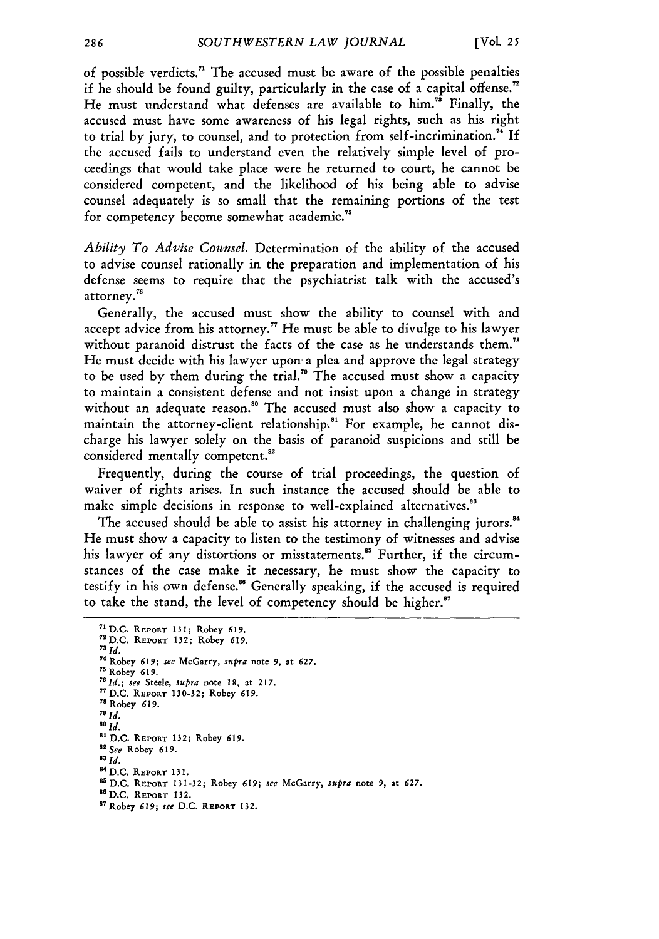of possible verdicts.<sup> $71$ </sup> The accused must be aware of the possible penalties if he should be found guilty, particularly in the case of a capital offense." He must understand what defenses are available to him.<sup>78</sup> Finally, the accused must have some awareness of his legal rights, such as his right to trial by jury, to counsel, and to protection from self-incrimination." If the accused fails to understand even the relatively simple level of proceedings that would take place were he returned to court, he cannot be considered competent, and the likelihood of his being able to advise counsel adequately is so small that the remaining portions of the test for competency become somewhat academic."

*Ability To Advise Counsel.* Determination of the ability of the accused to advise counsel rationally in the preparation and implementation of his defense seems to require that the psychiatrist talk with the accused's attorney."

Generally, the accused must show the ability to counsel with and accept advice from his attorney.<sup> $n$ </sup> He must be able to divulge to his lawyer without paranoid distrust the facts of the case as he understands them.<sup>78</sup> He must decide with his lawyer upon a plea and approve the legal strategy to be used by them during the trial.7' The accused must show a capacity to maintain a consistent defense and not insist upon a change in strategy without an adequate reason.<sup>80</sup> The accused must also show a capacity to maintain the attorney-client relationship.<sup>81</sup> For example, he cannot discharge his lawyer solely on the basis of paranoid suspicions and still be considered mentally competent.

Frequently, during the course of trial proceedings, the question of waiver of rights arises. In such instance the accused should be able to make simple decisions in response to well-explained alternatives."

The accused should be able to assist his attorney in challenging jurors.<sup>84</sup> He must show a capacity to listen to the testimony of witnesses and advise his lawyer of any distortions or misstatements.<sup>85</sup> Further, if the circumstances of the case make it necessary, he must show the capacity to testify in his own defense." Generally speaking, if the accused is required to take the stand, the level of competency should be higher.

**<sup>7</sup> 1 D.C.** REPORT **131; Robey 619. <sup>72</sup> D.C.** REPORT **132;** Robey *619. 7I ld.* 74 Robey **619;** see McGarry, *supra* note **9,** *at 627.* **75 Robey 619.**  $76$  *Id.*; see Steele, supra note 18, at 217. **7 <sup>7</sup> D.C. REPORT 130-32; Robey 619. <sup>7</sup> ' Robey** *619.*  $^{78}$  Robey 619.<br> $^{79}$  *Id. 80 Id.* **'1 D.C.** REPORT **132; Robey 619.** *"See* **Robey 619. 83** *Id.* **84 D.C.** REPORT **131. 5 D.C.** REPORT **131-32;** Robey **619;** *see* McGarry, *supra* note **9, at 627. "6 D.C. REPORT 132. 8 <sup>7</sup> Robey 619;** *see* **D.C. REPORT 132.**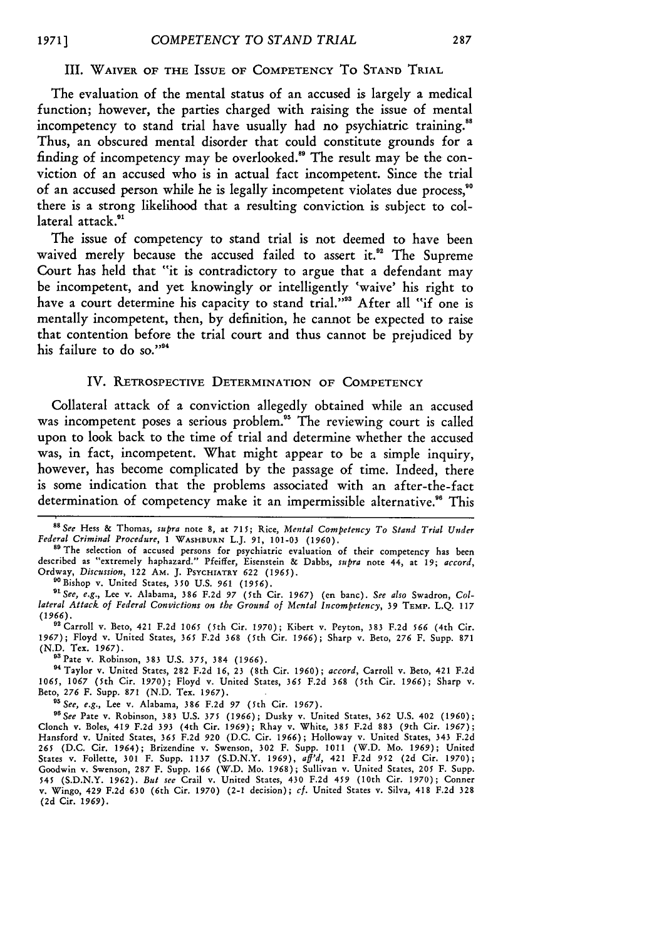#### III. **WAIVER OF THE ISSUE OF COMPETENCY** To **STAND TRIAL**

The evaluation of the mental status of an accused is largely a medical function; however, the parties charged with raising the issue of mental incompetency to stand trial have usually had no psychiatric training.<sup>88</sup> Thus, an obscured mental disorder that could constitute grounds for a finding of incompetency may be overlooked.<sup>89</sup> The result may be the conviction of an accused who is in actual fact incompetent. Since the trial of an accused person while he is legally incompetent violates due process," there is a strong likelihood that a resulting conviction is subject to collateral attack."'

The issue of competency to stand trial is not deemed to have been waived merely because the accused failed to assert it.<sup>92</sup> The Supreme Court has held that "it is contradictory to argue that a defendant may be incompetent, and yet knowingly or intelligently 'waive' his right to have a court determine his capacity to stand trial."<sup>93</sup> After all "if one is mentally incompetent, then, by definition, he cannot be expected to raise that contention before the trial court and thus cannot be prejudiced **by** his failure to do so."<sup>94</sup>

#### IV. RETROSPECTIVE DETERMINATION OF **COMPETENCY**

Collateral attack of a conviction allegedly obtained while an accused was incompetent poses a serious problem.<sup>85</sup> The reviewing court is called upon to look back to the time of trial and determine whether the accused was, in fact, incompetent. What might appear to be a simple inquiry, however, has become complicated by the passage of time. Indeed, there is some indication that the problems associated with an after-the-fact determination of competency make it an impermissible alternative.<sup>96</sup> This

Bishop v. United States, **350** U.S. *961* (1956).

**1967);** Floyd v. United States, **365** F.2d **368** (5th Cir. **1966);** Sharp v. Beto, **276** F. Supp. 871

<sup>93</sup> Pate v. Robinson, 383 U.S. 375, 384 (1966).

"Taylor v. United States, 282 F.2d **16, 23** (8th Cir. **1960);** *accord,* Carroll v. Beto, 421 F.2d **1065, 1067** (5th Cir. **1970);** Floyd v. United States, 365 F.2d **368** (5th Cir. **1966);** Sharp v. Beto, *276* F. Supp. 871 (N.D. Tex. 1967).

*9 See, e.g.,* Lee v. Alabama, **386** F.2d 97 (5th Cir. 1967). *<sup>9</sup> See* Pate v. Robinson, 383 **U.S. 375** (1966); Dusky v. United States, **362 U.S.** 402 **(1960);** Clonch v. Boles, 419 F.2d **393** (4th Cir. **1969);** Rhay v. White, **385** F.2d **883** (9th Cir. **1967);** Hansford v. United States, **365** F.2d **920** (D.C. Cir. **1966);** Holloway v. United States, 343 F.2d **265** (D.C. Cir. 1964); Brizendine v. Swenson, **302** F. Supp. 1011 (W.D. Mo. 1969); United States v. Follette, **301** F. Supp. 1137 (S.D.N.Y. **1969),** *afl'd,* 421 F.2d **952** (2d Cir. **1970);** Goodwin v. Swenson, **287** F. Supp. **166** (W.D. Mo. **1968);** Sullivan v. United States, **205** F. Supp. 545 (S.D.N.Y. 1962). *But see* Crail v. United States, 430 F.2d 459 (10th Cir. **1970);** Conner v. Wingo, 429 F.2d **630** (6th Cir. 1970) (2-1 decision); *cf.* United States v. Silva, 418 F.2d 328 (2d Cir. 1969).

*<sup>8</sup>See* Hess & Thomas, *supra* note 8, at **715;** Rice, *Mental Competency To Stand Trial Under Federal Criminal Procedure,* 1 WASHBURN L.J. **91,** 101-03 (1960).

**<sup>89</sup>** The selection of accused persons for psychiatric evaluation of their competency has been described as "extremely haphazard." Pfeiffer, Eisenstein **&** Dabbs, *supra* note 44, at *19; accord,* Ordway, *Discussion,* 122 **AM.** J. PSYCHIATRY **622** (1965). " 9

*O See, e.g.,* Lee v. Alabama, **386** F.2d **97** (5th Cir. **1967)** (en banc). *See also* Swadron, *Collateral Attack of Federal Convictions on the Ground of Mental Incompetency,* **39 TEMP.** L.Q. **<sup>117</sup>** (1966). " Carroll v. Beto, 421 F.2d **1065** (5th Cir. **1970);** Kibert v. Peyton, **383** F.2d **566** (4th Cir.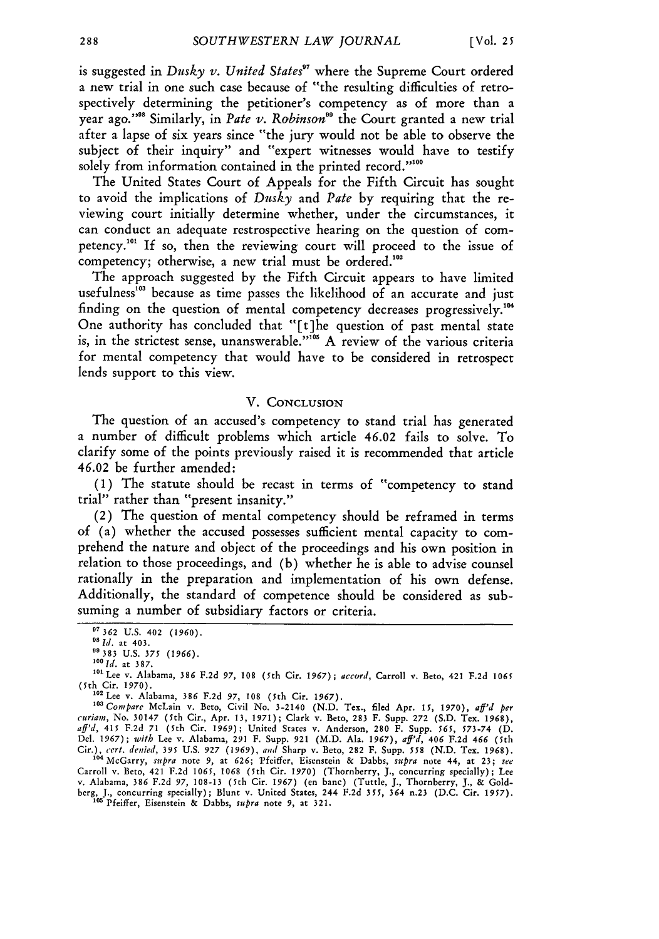is suggested in *Dusky v. United States<sup>97</sup>* where the Supreme Court ordered a new trial in one such case because of "the resulting difficulties of retrospectively determining the petitioner's competency as of more than a year ago."<sup>388</sup> Similarly, in *Pate v. Robinson*<sup>89</sup> the Court granted a new trial after a lapse of six years since "the jury would not be able to observe the subject of their inquiry" and "expert witnesses would have to testify solely from information contained in the printed record."<sup>100</sup>

The United States Court of Appeals for the Fifth Circuit has sought to avoid the implications of *Dusky* and *Pate* by requiring that the reviewing court initially determine whether, under the circumstances, it can conduct an adequate restrospective hearing on the question of competency.<sup>101</sup> If so, then the reviewing court will proceed to the issue of competency; otherwise, a new trial must be ordered.<sup>102</sup>

The approach suggested by the Fifth Circuit appears to have limited usefulness<sup>103</sup> because as time passes the likelihood of an accurate and just finding on the question of mental competency decreases progressively.' One authority has concluded that "[t]he question of past mental state is, in the strictest sense, unanswerable."<sup>105</sup> A review of the various criteria for mental competency that would have to be considered in retrospect lends support to this view.

## V. **CONCLUSION**

The question of an accused's competency to stand trial has generated a number of difficult problems which article 46.02 fails to solve. To clarify some of the points previously raised it is recommended that article 46.02 be further amended:

**(1)** The statute should be recast in terms of "competency to stand trial" rather than "present insanity."

(2) The question of mental competency should be reframed in terms of (a) whether the accused possesses sufficient mental capacity to comprehend the nature and object of the proceedings and his own position in relation to those proceedings, and (b) whether he is able to advise counsel rationally in the preparation and implementation of his own defense. Additionally, the standard of competence should be considered as subsuming a number of subsidiary factors or criteria.

Carroll v. Beto, 421 F.2d **1065,** 1068 (5th Cir. 1970) (Thornberry, **J.,** concurring specially); Lee v. Alabama, 386 F.2d 97, 108-13 (5th Cir. *1967)* (en banc) (Tuttle, J., Thornberry, **J., &** Goldberg, **J.,** concurring specially); Blunt v. United States, 244 F.2d 355, 364 n.23 (D.C. Cir. 1957). **"** Pfeiffer, Eisenstein & Dabbs, *suipra* note 9, **at** 321.

<sup>°&#</sup>x27;362 **U.S.** 402 *(1960). 9Id.* at 403.

**<sup>55383</sup>** U.S. 375 *(1966).*

*<sup>&#</sup>x27;Id.* at 387.

<sup>&</sup>lt;sup>101</sup> Lee v. Alabama, 386 F.2d 97, 108 (5th Cir. 1967); accord, Carroll v. Beto, 421 F.2d 1065 (5th Cir. 1970).

<sup>102</sup> Lee v. Alabama, 386 F.2d **97,** 108 (5th Cir. *1967).*

*<sup>&#</sup>x27;Compare* McLain v. Beto, Civil No. 3-2140 (N.D. Tex., filed Apr. **15,** 1970), *aff'd per curiam,* No. 30147 (5th Cir., Apr. 13, 1971); Clark v. Beto, 283 F. Supp. 272 (S.D. Tex. 1968), *aff'd,* 415 F.2d 71 (5th Cir. **1969);** United States v. Anderson, 280 F. Supp. **565,** 573-74 (D. Del. 1967); *with* Lee v. Alabama, **291** F. Supp. **921** (M.D. Ala. 1967), *aff'd, 406* F.2d *466* (5th Cir.), cert. denied, 395 U.S. 927 (1969), and Sharp v. Beto, 282 F. Supp. 558 (N.D. Tex. 1968).<br><sup>104</sup> McGarry, supra note 9, at 626; Pfeiffer, Eisenstein & Dabbs, supra note 44, at 23; see